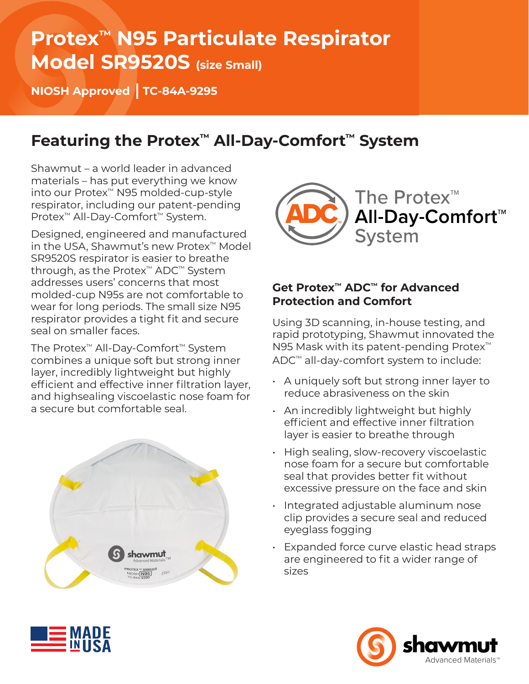## **Protex™ N95 Particulate Respirator Model SR9520S (size Small)**

**NIOSH Approved TC-84A-9295**

## **Featuring the Protex™ All-Day-Comfort™ System**

Shawmut – a world leader in advanced materials – has put everything we know into our Protex™ N95 molded-cup-style respirator, including our patent-pending Protex™ All-Day-Comfort™ System.

Designed, engineered and manufactured in the USA, Shawmut's new Protex™ Model SR9520S respirator is easier to breathe through, as the Protex™ ADC™ System addresses users' concerns that most molded-cup N95s are not comfortable to wear for long periods. The small size N95 respirator provides a tight fit and secure seal on smaller faces.

The Protex™ All-Day-Comfort™ System combines a unique soft but strong inner layer, incredibly lightweight but highly efficient and effective inner filtration layer, and highsealing viscoelastic nose foam for a secure but comfortable seal.





#### **Get Protex™ ADC™ for Advanced Protection and Comfort**

Using 3D scanning, in-house testing, and rapid prototyping, Shawmut innovated the N95 Mask with its patent-pending Protex™ ADC™ all-day-comfort system to include:

- A uniquely soft but strong inner layer to reduce abrasiveness on the skin
- An incredibly lightweight but highly efficient and effective inner filtration layer is easier to breathe through
- High sealing, slow-recovery viscoelastic nose foam for a secure but comfortable seal that provides better fit without excessive pressure on the face and skin
- Integrated adjustable aluminum nose clip provides a secure seal and reduced eyeglass fogging
- Expanded force curve elastic head straps are engineered to fit a wider range of sizes